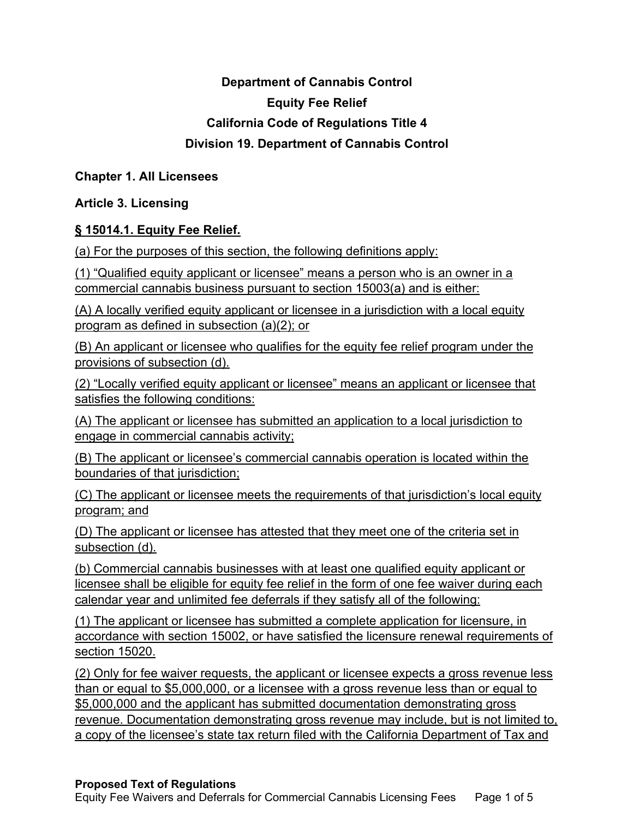# **Department of Cannabis Control Equity Fee Relief California Code of Regulations Title 4 Division 19. Department of Cannabis Control**

## **Chapter 1. All Licensees**

# **Article 3. Licensing**

## **§ 15014.1. Equity Fee Relief.**

(a) For the purposes of this section, the following definitions apply:

(1) "Qualified equity applicant or licensee" means a person who is an owner in a commercial cannabis business pursuant to section 15003(a) and is either:

(A) A locally verified equity applicant or licensee in a jurisdiction with a local equity program as defined in subsection (a)(2); or

(B) An applicant or licensee who qualifies for the equity fee relief program under the provisions of subsection (d).

(2) "Locally verified equity applicant or licensee" means an applicant or licensee that satisfies the following conditions:

(A) The applicant or licensee has submitted an application to a local jurisdiction to engage in commercial cannabis activity;

(B) The applicant or licensee's commercial cannabis operation is located within the boundaries of that jurisdiction;

(C) The applicant or licensee meets the requirements of that jurisdiction's local equity program; and

(D) The applicant or licensee has attested that they meet one of the criteria set in subsection (d).

(b) Commercial cannabis businesses with at least one qualified equity applicant or licensee shall be eligible for equity fee relief in the form of one fee waiver during each calendar year and unlimited fee deferrals if they satisfy all of the following:

(1) The applicant or licensee has submitted a complete application for licensure, in accordance with section 15002, or have satisfied the licensure renewal requirements of section 15020.

(2) Only for fee waiver requests, the applicant or licensee expects a gross revenue less than or equal to \$5,000,000, or a licensee with a gross revenue less than or equal to \$5,000,000 and the applicant has submitted documentation demonstrating gross revenue. Documentation demonstrating gross revenue may include, but is not limited to, a copy of the licensee's state tax return filed with the California Department of Tax and

#### **Proposed Text of Regulations**

Equity Fee Waivers and Deferrals for Commercial Cannabis Licensing Fees Page 1 of 5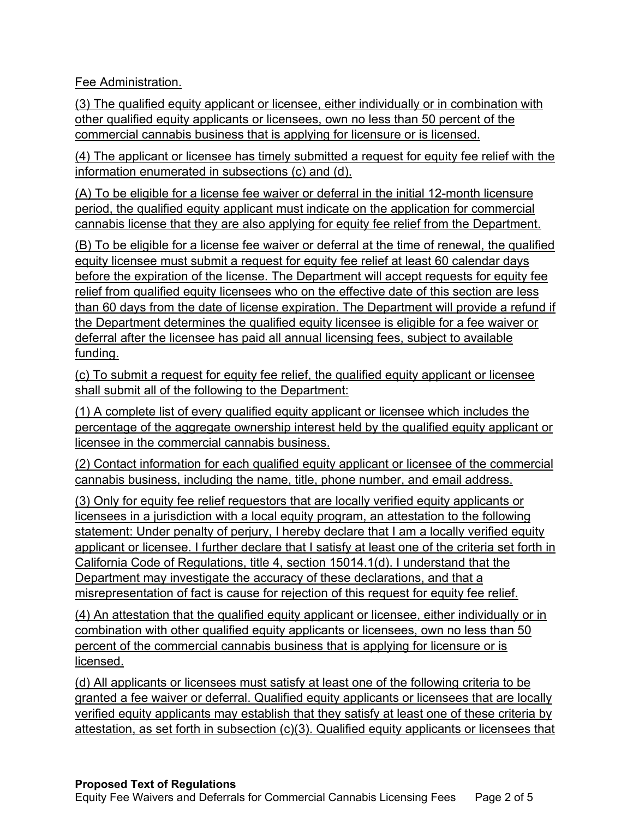Fee Administration.

(3) The qualified equity applicant or licensee, either individually or in combination with other qualified equity applicants or licensees, own no less than 50 percent of the commercial cannabis business that is applying for licensure or is licensed.

(4) The applicant or licensee has timely submitted a request for equity fee relief with the information enumerated in subsections (c) and (d).

(A) To be eligible for a license fee waiver or deferral in the initial 12-month licensure period, the qualified equity applicant must indicate on the application for commercial cannabis license that they are also applying for equity fee relief from the Department.

(B) To be eligible for a license fee waiver or deferral at the time of renewal, the qualified equity licensee must submit a request for equity fee relief at least 60 calendar days before the expiration of the license. The Department will accept requests for equity fee relief from qualified equity licensees who on the effective date of this section are less than 60 days from the date of license expiration. The Department will provide a refund if the Department determines the qualified equity licensee is eligible for a fee waiver or deferral after the licensee has paid all annual licensing fees, subject to available funding.

(c) To submit a request for equity fee relief, the qualified equity applicant or licensee shall submit all of the following to the Department:

(1) A complete list of every qualified equity applicant or licensee which includes the percentage of the aggregate ownership interest held by the qualified equity applicant or licensee in the commercial cannabis business.

(2) Contact information for each qualified eq uity applicant or licensee of the commercial cannabis business, including the name, title, phone number, and email address.

(3) Only for equity fee relief requestors that are locally verified equity applicants or licensees in a jurisdiction with a local equity program, an attestation to the following statement: Under penalty of perjury, I hereby declare that I am a locally verified equity applicant or licensee. I further declare that I satisfy at least one of the criteria set forth in California Code of Regulations, title 4, section 15014.1(d). I understand that the Department may investigate the accuracy of these declarations, and that a misrepresentation of fact is cause for rejection of this request for equity fee relief.

(4) An attestation that the qualified equity applicant or licensee, either individually or in combination with other qualified equity applicants or licensees, own no less than 50 percent of the commercial cannabis business that is applying for licensure or is licensed.

(d) All applicants or licensees must satisfy at least one of the following criteria to be granted a fee waiver or deferral. Qualified equity applicants or licensees that are locally verified equity applicants may establish that they satisfy at least one of these criteria by attestation, as set forth in subsection (c)(3). Qualified equity applicants or licensees that

### **Proposed Text of Regulations**

Equity Fee Waivers and Deferrals for Commercial Cannabis Licensing Fees Page 2 of 5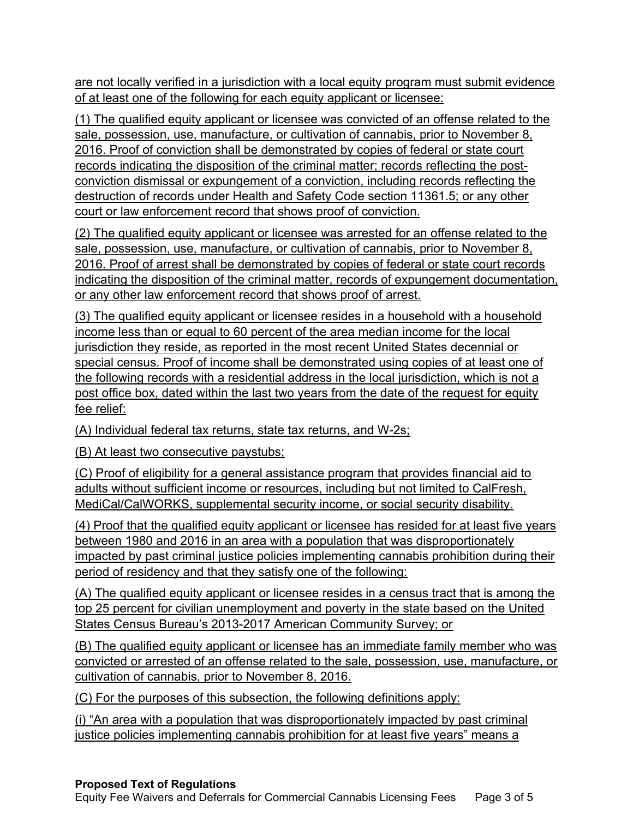are not locally verified in a jurisdiction with a local equity program must submit evidence of at least one of the following for each equity applicant or licensee:

(1) The qualified equity applicant or licensee was convicted of an offense related to the sale, possession, use, manufacture, or cultivation of cannabis, prior to November 8, 2016. Proof of conviction shall be demonstrated by copies of federal or state court records indicating the disposition of the criminal matter; records reflecting the postconviction dismissal or expungement of a conviction, including records reflecting the destruction of records under Health and Safety Code section 11361.5; or any other court or law enforcement record that shows proof of conviction.

(2) The qualified equity applicant or licensee was arrested for an offense related to the sale, possession, use, manufacture, or cultivation of cannabis, prior to November 8, 2016. Proof of arrest shall be demonstrated by copies of federal or state court records indicating the disposition of the criminal matter, records of expungement documentation, or any other law enforcement record that shows proof of arrest.

(3) The qualified equity applicant or licensee resides in a household with a household income less than or equal to 60 percent of the area median income for the local jurisdiction they reside, as reported in the most recent United States decennial or special census. Proof of income shall be demonstrated using copies of at least one of the following records with a residential address in the local jurisdiction, which is not a post office box, dated within the last two years from the date of the request for equity fee relief:

(A) Individual federal tax returns, state tax returns, and W -2s;

(B) At least two consecutive paystubs;

(C) Proof of eligibility for a general assistance program that provides financial aid to adults without sufficient income or resources, including but not limited to CalFresh, MediCal/CalWORKS, supplemental security income, or social security disability.

(4) Proof that the qualified equity applicant or licensee has resided for at least five years between 1980 and 2016 in an area with a population that was disproportionately impacted by past criminal justice policies implementing cannabis prohibition during their period of residency and that they satisfy one of the following:

(A) The qualified equity applicant or licensee resides in a census tract that is among the top 25 percent for civilian unemployment and poverty in the state based on the United States Census Bureau's 2013-2017 American Community Survey; or

(B) The qualified equity applicant or licensee has an immediate family member who was convicted or arrested of an offense related to the sale, possession, use, manufacture, or cultivation of cannabis, prior to November 8, 2016.

(C) For the purposes of this subsection, the following definitions apply:

(i) "An area with a population that was disproportionately impacted by past criminal justice policies implementing cannabis prohibition for at least five years" means a

# **Proposed Text of Regulations**

Equity Fee Waivers and Deferrals for Commercial Cannabis Licensing Fees Page 3 of 5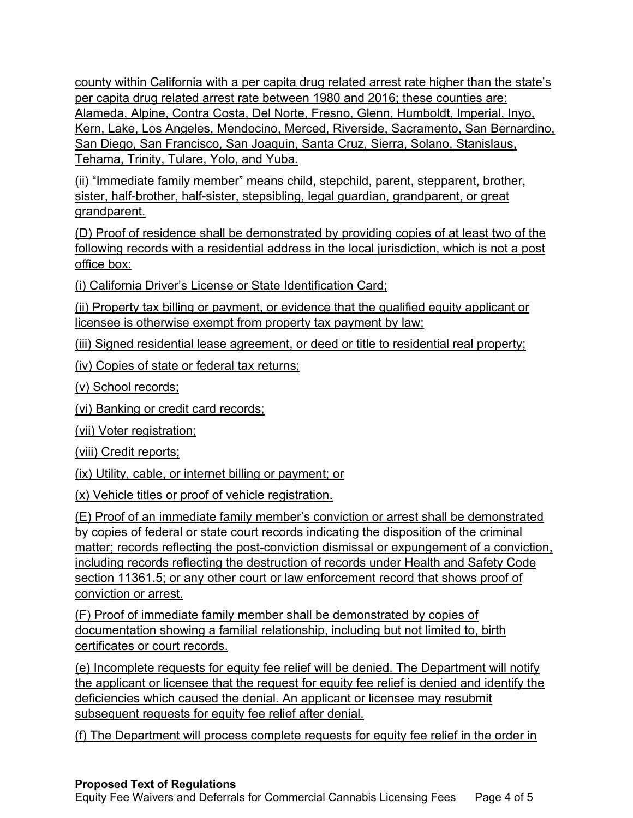county within California with a per capita drug related arrest rate higher than the state's per capita drug related arrest rate between 1980 and 2016; these counties are: Alameda, Alpine, Contra Costa, Del Norte, Fresno, Glenn, Humboldt, Imperial, Inyo, Kern, Lake, Los Angeles, Mendocino, Merced, Riverside, Sacramento, San Bernardino, San Diego, San Francisco, San Joaquin, Santa Cruz, Sierra, Solano, Stanislaus, Tehama, Trinity, Tulare, Yolo, and Yuba.

(ii) "Immediate family member" means child, stepchild, parent, stepparent, brother, sister, half-brother, half-sister, stepsibling, legal guardian, grandparent, or great grandparent.

(D) Proof of residence shall be demonstrated by providing copies of at least two of the following records with a residential address in the local jurisdiction, which is not a post office box:

(i) California Driver's License or State Identification Card;

(ii) Property tax billing or payment, or evidence that the qualified equity applicant or licensee is otherwise exempt from property tax payment by law;

(iii) Signed residential lease agreement, or deed or title to residential real property;

(iv) Copies of state or federal tax returns;

(v) School records;

(vi) Banking or credit card records;

(vii) Voter registration;

(viii) Credit reports;

 $(ix)$  Utility, cable, or internet billing or payment; or

(x) Vehicle titles or proof of vehicle registration .

(E) Proof of an immediate family member's conviction or arrest shall be demonstrated by copies of federal or state court records indicating the disposition of the criminal matter; records reflecting the post-conviction dismissal or expungement of a conviction, including records reflecting the destruction of records under Health and Safety Code section 11361.5; or any other court or law enforcement record that shows proof of conviction or arrest.

(F) Proof of immediate family member shall be demonstrated by copies of documentation showing a familial relationship, including but not limited to, birth certificates or court records.

(e) Incomplete requests for equity fee relief will be denied. The Department will notify the applicant or licensee that the request for equity fee relief is denied and identify the deficiencies which caused the denial. An applicant or licensee may resubmit subsequent requests for equity fee relief after denial.

(f) The Department will process complete requests for equity fee relief in the order in

# **Proposed Text of Regulations**

Equity Fee Waivers and Deferrals for Commercial Cannabis Licensing Fees Page 4 of 5